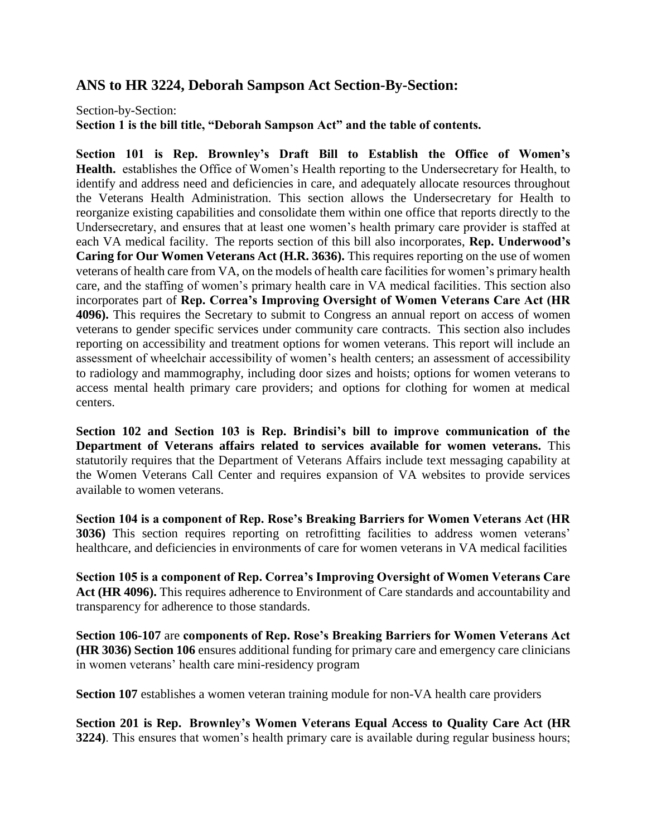## **ANS to HR 3224, Deborah Sampson Act Section-By-Section:**

Section-by-Section: **Section 1 is the bill title, "Deborah Sampson Act" and the table of contents.**

**Section 101 is Rep. Brownley's Draft Bill to Establish the Office of Women's Health.** establishes the Office of Women's Health reporting to the Undersecretary for Health, to identify and address need and deficiencies in care, and adequately allocate resources throughout the Veterans Health Administration. This section allows the Undersecretary for Health to reorganize existing capabilities and consolidate them within one office that reports directly to the Undersecretary, and ensures that at least one women's health primary care provider is staffed at each VA medical facility. The reports section of this bill also incorporates, **Rep. Underwood's Caring for Our Women Veterans Act (H.R. 3636).** This requires reporting on the use of women veterans of health care from VA, on the models of health care facilities for women's primary health care, and the staffing of women's primary health care in VA medical facilities. This section also incorporates part of **Rep. Correa's Improving Oversight of Women Veterans Care Act (HR 4096).** This requires the Secretary to submit to Congress an annual report on access of women veterans to gender specific services under community care contracts. This section also includes reporting on accessibility and treatment options for women veterans. This report will include an assessment of wheelchair accessibility of women's health centers; an assessment of accessibility to radiology and mammography, including door sizes and hoists; options for women veterans to access mental health primary care providers; and options for clothing for women at medical centers.

**Section 102 and Section 103 is Rep. Brindisi's bill to improve communication of the Department of Veterans affairs related to services available for women veterans.** This statutorily requires that the Department of Veterans Affairs include text messaging capability at the Women Veterans Call Center and requires expansion of VA websites to provide services available to women veterans.

**Section 104 is a component of Rep. Rose's Breaking Barriers for Women Veterans Act (HR 3036)** This section requires reporting on retrofitting facilities to address women veterans' healthcare, and deficiencies in environments of care for women veterans in VA medical facilities

**Section 105 is a component of Rep. Correa's Improving Oversight of Women Veterans Care Act (HR 4096).** This requires adherence to Environment of Care standards and accountability and transparency for adherence to those standards.

**Section 106-107** are **components of Rep. Rose's Breaking Barriers for Women Veterans Act (HR 3036) Section 106** ensures additional funding for primary care and emergency care clinicians in women veterans' health care mini-residency program

**Section 107** establishes a women veteran training module for non-VA health care providers

**Section 201 is Rep. Brownley's Women Veterans Equal Access to Quality Care Act (HR 3224)**. This ensures that women's health primary care is available during regular business hours;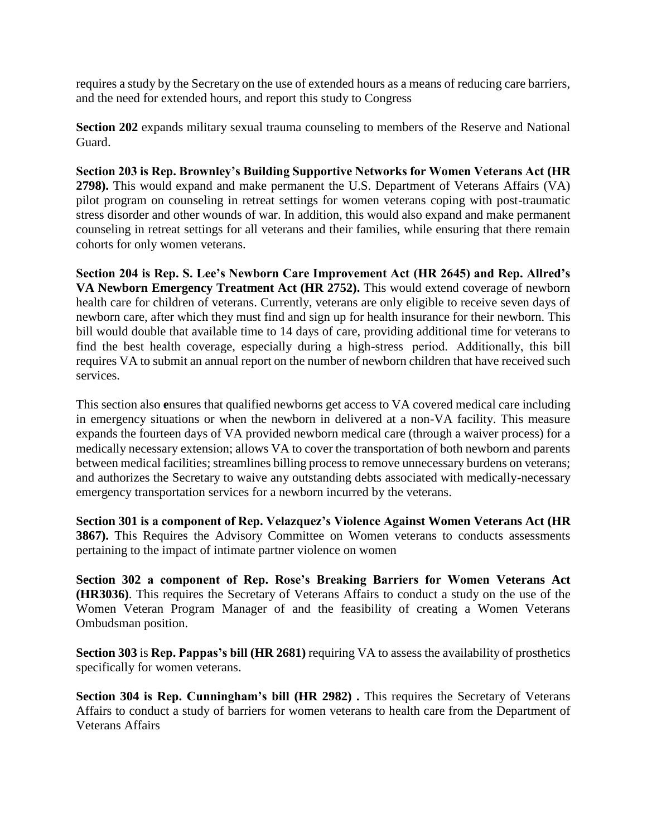requires a study by the Secretary on the use of extended hours as a means of reducing care barriers, and the need for extended hours, and report this study to Congress

**Section 202** expands military sexual trauma counseling to members of the Reserve and National Guard.

**Section 203 is Rep. Brownley's Building Supportive Networks for Women Veterans Act (HR 2798).** This would expand and make permanent the U.S. Department of Veterans Affairs (VA) pilot program on counseling in retreat settings for women veterans coping with post-traumatic stress disorder and other wounds of war. In addition, this would also expand and make permanent counseling in retreat settings for all veterans and their families, while ensuring that there remain cohorts for only women veterans.

**Section 204 is Rep. S. Lee's Newborn Care Improvement Act (HR 2645) and Rep. Allred's VA Newborn Emergency Treatment Act (HR 2752).** This would extend coverage of newborn health care for children of veterans. Currently, veterans are only eligible to receive seven days of newborn care, after which they must find and sign up for health insurance for their newborn. This bill would double that available time to 14 days of care, providing additional time for veterans to find the best health coverage, especially during a high-stress period.  Additionally, this bill requires VA to submit an annual report on the number of newborn children that have received such services.

This section also **e**nsures that qualified newborns get access to VA covered medical care including in emergency situations or when the newborn in delivered at a non-VA facility. This measure expands the fourteen days of VA provided newborn medical care (through a waiver process) for a medically necessary extension; allows VA to cover the transportation of both newborn and parents between medical facilities; streamlines billing process to remove unnecessary burdens on veterans; and authorizes the Secretary to waive any outstanding debts associated with medically-necessary emergency transportation services for a newborn incurred by the veterans.

**Section 301 is a component of Rep. Velazquez's Violence Against Women Veterans Act (HR 3867).** This Requires the Advisory Committee on Women veterans to conducts assessments pertaining to the impact of intimate partner violence on women

**Section 302 a component of Rep. Rose's Breaking Barriers for Women Veterans Act (HR3036)**. This requires the Secretary of Veterans Affairs to conduct a study on the use of the Women Veteran Program Manager of and the feasibility of creating a Women Veterans Ombudsman position.

**Section 303** is **Rep. Pappas's bill (HR 2681)** requiring VA to assess the availability of prosthetics specifically for women veterans.

**Section 304 is Rep. Cunningham's bill (HR 2982) .** This requires the Secretary of Veterans Affairs to conduct a study of barriers for women veterans to health care from the Department of Veterans Affairs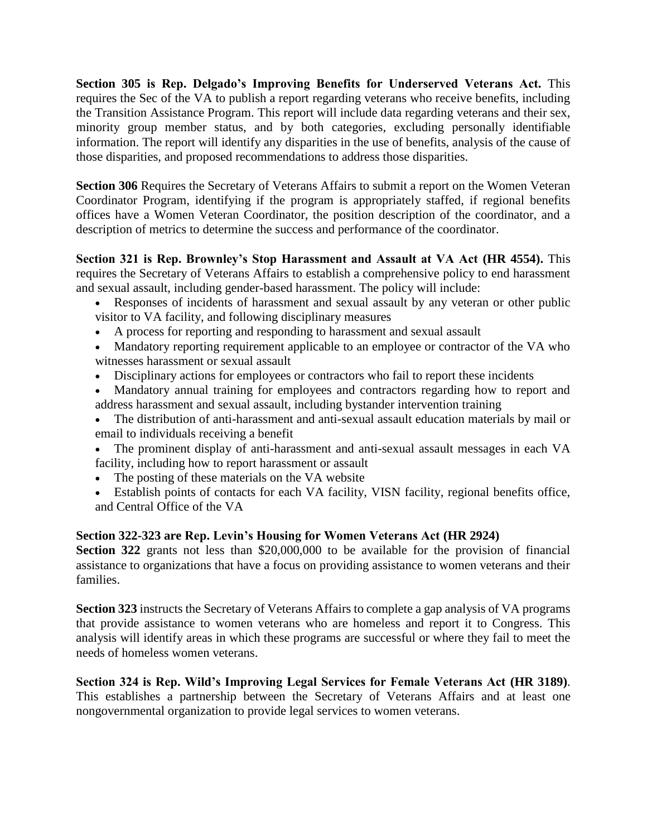**Section 305 is Rep. Delgado's Improving Benefits for Underserved Veterans Act.** This requires the Sec of the VA to publish a report regarding veterans who receive benefits, including the Transition Assistance Program. This report will include data regarding veterans and their sex, minority group member status, and by both categories, excluding personally identifiable information. The report will identify any disparities in the use of benefits, analysis of the cause of those disparities, and proposed recommendations to address those disparities.

**Section 306** Requires the Secretary of Veterans Affairs to submit a report on the Women Veteran Coordinator Program, identifying if the program is appropriately staffed, if regional benefits offices have a Women Veteran Coordinator, the position description of the coordinator, and a description of metrics to determine the success and performance of the coordinator.

**Section 321 is Rep. Brownley's Stop Harassment and Assault at VA Act (HR 4554).** This requires the Secretary of Veterans Affairs to establish a comprehensive policy to end harassment and sexual assault, including gender-based harassment. The policy will include:

- Responses of incidents of harassment and sexual assault by any veteran or other public visitor to VA facility, and following disciplinary measures
- A process for reporting and responding to harassment and sexual assault
- Mandatory reporting requirement applicable to an employee or contractor of the VA who witnesses harassment or sexual assault
- Disciplinary actions for employees or contractors who fail to report these incidents
- Mandatory annual training for employees and contractors regarding how to report and address harassment and sexual assault, including bystander intervention training
- The distribution of anti-harassment and anti-sexual assault education materials by mail or email to individuals receiving a benefit
- The prominent display of anti-harassment and anti-sexual assault messages in each VA facility, including how to report harassment or assault
- The posting of these materials on the VA website
- Establish points of contacts for each VA facility, VISN facility, regional benefits office, and Central Office of the VA

## **Section 322-323 are Rep. Levin's Housing for Women Veterans Act (HR 2924)**

**Section 322** grants not less than \$20,000,000 to be available for the provision of financial assistance to organizations that have a focus on providing assistance to women veterans and their families.

**Section 323** instructs the Secretary of Veterans Affairs to complete a gap analysis of VA programs that provide assistance to women veterans who are homeless and report it to Congress. This analysis will identify areas in which these programs are successful or where they fail to meet the needs of homeless women veterans.

**Section 324 is Rep. Wild's Improving Legal Services for Female Veterans Act (HR 3189)**. This establishes a partnership between the Secretary of Veterans Affairs and at least one nongovernmental organization to provide legal services to women veterans.